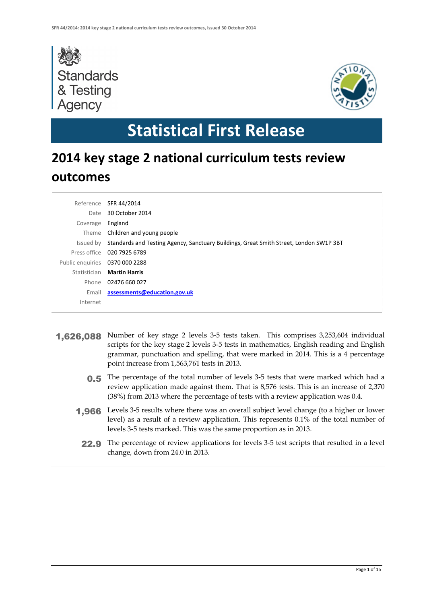



# **Statistical First Release**

# **2014 key stage 2 national curriculum tests review outcomes**

| Reference        | SFR 44/2014                                                                            |
|------------------|----------------------------------------------------------------------------------------|
| Date             | 30 October 2014                                                                        |
| Coverage         | England                                                                                |
| Theme            | Children and young people                                                              |
| Issued by        | Standards and Testing Agency, Sanctuary Buildings, Great Smith Street, London SW1P 3BT |
|                  | Press office 020 7925 6789                                                             |
| Public enguiries | 0370 000 2288                                                                          |
| Statistician     | <b>Martin Harris</b>                                                                   |
| Phone            | 02476 660 027                                                                          |
| Email            | assessments@education.gov.uk                                                           |
| Internet         |                                                                                        |

- 1,626,088 Number of key stage 2 levels 3-5 tests taken. This comprises 3,253,604 individual scripts for the key stage 2 levels 3-5 tests in mathematics, English reading and English grammar, punctuation and spelling, that were marked in 2014. This is a 4 percentage point increase from 1,563,761 tests in 2013.
	- **0.5** The percentage of the total number of levels 3-5 tests that were marked which had a review application made against them. That is 8,576 tests. This is an increase of 2,370 (38%) from 2013 where the percentage of tests with a review application was 0.4.
	- **1,966** Levels 3-5 results where there was an overall subject level change (to a higher or lower level) as a result of a review application. This represents 0.1% of the total number of levels 3-5 tests marked. This was the same proportion as in 2013.
		- 22.9 The percentage of review applications for levels 3-5 test scripts that resulted in a level change, down from 24.0 in 2013.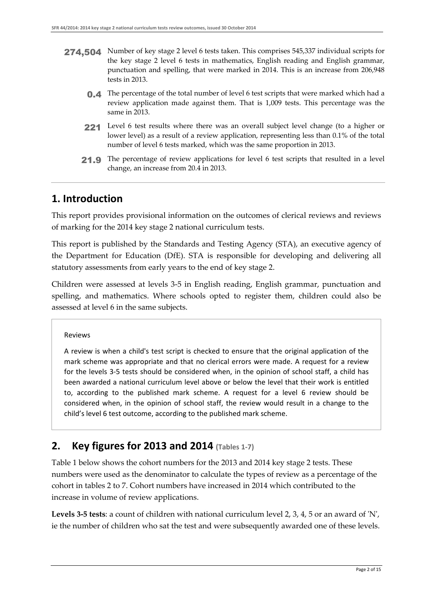- 274,504 Number of key stage 2 level 6 tests taken. This comprises 545,337 individual scripts for the key stage 2 level 6 tests in mathematics, English reading and English grammar, punctuation and spelling, that were marked in 2014. This is an increase from 206,948 tests in 2013.
	- 0.4 The percentage of the total number of level 6 test scripts that were marked which had a review application made against them. That is 1,009 tests. This percentage was the same in 2013.
	- 221 Level 6 test results where there was an overall subject level change (to a higher or lower level) as a result of a review application, representing less than 0.1% of the total number of level 6 tests marked, which was the same proportion in 2013.
	- 21.9 The percentage of review applications for level 6 test scripts that resulted in a level change, an increase from 20.4 in 2013.

### **1. Introduction**

This report provides provisional information on the outcomes of clerical reviews and reviews of marking for the 2014 key stage 2 national curriculum tests.

This report is published by the Standards and Testing Agency (STA), an executive agency of the Department for Education (DfE). STA is responsible for developing and delivering all statutory assessments from early years to the end of key stage 2.

Children were assessed at levels 3-5 in English reading, English grammar, punctuation and spelling, and mathematics. Where schools opted to register them, children could also be assessed at level 6 in the same subjects.

Reviews

A review is when a child's test script is checked to ensure that the original application of the mark scheme was appropriate and that no clerical errors were made. A request for a review for the levels 3-5 tests should be considered when, in the opinion of school staff, a child has been awarded a national curriculum level above or below the level that their work is entitled to, according to the published mark scheme. A request for a level 6 review should be considered when, in the opinion of school staff, the review would result in a change to the child's level 6 test outcome, according to the published mark scheme.

### **2. Key figures for 2013 and 2014 (Tables 1-7)**

Table 1 below shows the cohort numbers for the 2013 and 2014 key stage 2 tests. These numbers were used as the denominator to calculate the types of review as a percentage of the cohort in tables 2 to 7. Cohort numbers have increased in 2014 which contributed to the increase in volume of review applications.

**Levels 3-5 tests**: a count of children with national curriculum level 2, 3, 4, 5 or an award of 'N', ie the number of children who sat the test and were subsequently awarded one of these levels.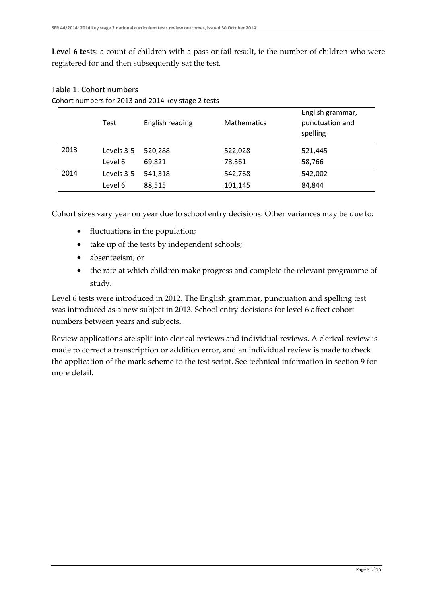**Level 6 tests**: a count of children with a pass or fail result, ie the number of children who were registered for and then subsequently sat the test.

|      | <b>Test</b> | English reading | <b>Mathematics</b> | English grammar,<br>punctuation and<br>spelling |
|------|-------------|-----------------|--------------------|-------------------------------------------------|
| 2013 | Levels 3-5  | 520,288         | 522,028            | 521,445                                         |
|      | Level 6     | 69,821          | 78,361             | 58,766                                          |
| 2014 | Levels 3-5  | 541,318         | 542,768            | 542,002                                         |
|      | Level 6     | 88,515          | 101,145            | 84,844                                          |

#### Table 1: Cohort numbers Cohort numbers for 2013 and 2014 key stage 2 tests

Cohort sizes vary year on year due to school entry decisions. Other variances may be due to:

- fluctuations in the population;
- take up of the tests by independent schools;
- absenteeism; or
- the rate at which children make progress and complete the relevant programme of study.

Level 6 tests were introduced in 2012. The English grammar, punctuation and spelling test was introduced as a new subject in 2013. School entry decisions for level 6 affect cohort numbers between years and subjects.

Review applications are split into clerical reviews and individual reviews. A clerical review is made to correct a transcription or addition error, and an individual review is made to check the application of the mark scheme to the test script. See technical information in section 9 for more detail.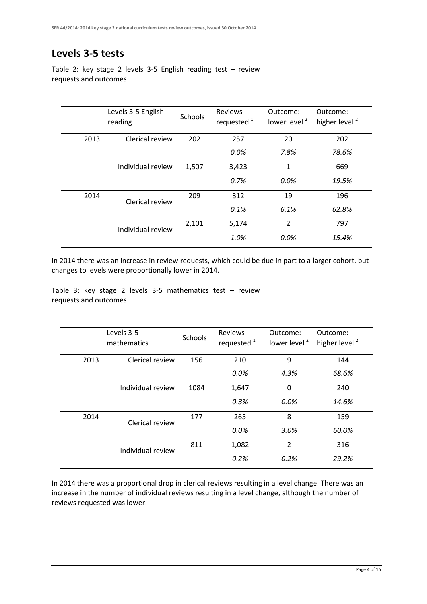## **Levels 3-5 tests**

Table 2: key stage 2 levels 3-5 English reading test – review requests and outcomes

|      | Levels 3-5 English<br>reading |       | Reviews<br>requested <sup>1</sup> | Outcome:<br>lower level <sup>2</sup> | Outcome:<br>higher level <sup>2</sup> |
|------|-------------------------------|-------|-----------------------------------|--------------------------------------|---------------------------------------|
| 2013 | Clerical review               | 202   | 257                               | 20                                   | 202                                   |
|      |                               |       | 0.0%                              | 7.8%                                 | 78.6%                                 |
|      | Individual review             | 1,507 | 3,423                             | 1                                    | 669                                   |
|      |                               |       | 0.7%                              | $0.0\%$                              | 19.5%                                 |
| 2014 | Clerical review               | 209   | 312                               | 19                                   | 196                                   |
|      |                               |       | 0.1%                              | 6.1%                                 | 62.8%                                 |
|      | Individual review             | 2,101 | 5,174                             | $\overline{2}$                       | 797                                   |
|      |                               |       | 1.0%                              | 0.0%                                 | 15.4%                                 |

In 2014 there was an increase in review requests, which could be due in part to a larger cohort, but changes to levels were proportionally lower in 2014.

Table 3: key stage 2 levels 3-5 mathematics test – review requests and outcomes

|      | Levels 3-5<br>mathematics |      | Reviews<br>requested <sup>1</sup> | Outcome:<br>lower level <sup>2</sup> | Outcome:<br>higher level <sup>2</sup> |
|------|---------------------------|------|-----------------------------------|--------------------------------------|---------------------------------------|
| 2013 | Clerical review           | 156  | 210                               | 9                                    | 144                                   |
|      |                           |      | 0.0%                              | 4.3%                                 | 68.6%                                 |
|      | Individual review         | 1084 | 1,647                             | 0                                    | 240                                   |
|      |                           |      | 0.3%                              | 0.0%                                 | 14.6%                                 |
| 2014 | Clerical review           | 177  | 265                               | 8                                    | 159                                   |
|      |                           |      | $0.0\%$                           | 3.0%                                 | 60.0%                                 |
|      | Individual review         | 811  | 1,082                             | $\overline{2}$                       | 316                                   |
|      |                           |      | 0.2%                              | 0.2%                                 | 29.2%                                 |

In 2014 there was a proportional drop in clerical reviews resulting in a level change. There was an increase in the number of individual reviews resulting in a level change, although the number of reviews requested was lower.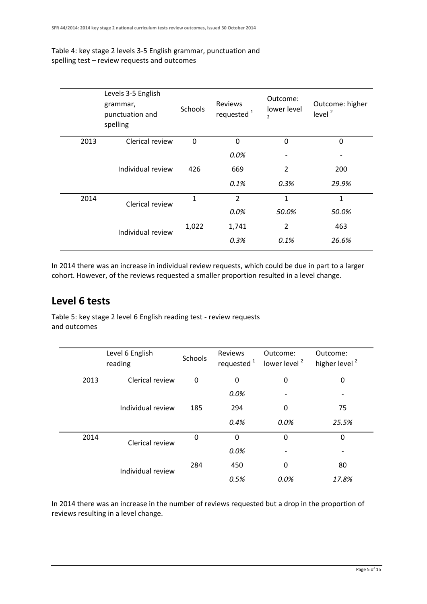#### Table 4: key stage 2 levels 3-5 English grammar, punctuation and spelling test – review requests and outcomes

|      | Levels 3-5 English<br>grammar,<br>punctuation and<br>spelling | <b>Schools</b> | <b>Reviews</b><br>requested <sup>1</sup> | Outcome:<br>lower level<br>$\overline{2}$ | Outcome: higher<br>level $2$ |
|------|---------------------------------------------------------------|----------------|------------------------------------------|-------------------------------------------|------------------------------|
| 2013 | Clerical review                                               | 0              | $\mathbf 0$                              | 0                                         | 0                            |
|      |                                                               |                | 0.0%                                     |                                           |                              |
|      | Individual review                                             | 426            | 669                                      | $\overline{2}$                            | 200                          |
|      |                                                               |                | 0.1%                                     | 0.3%                                      | 29.9%                        |
| 2014 | Clerical review                                               | $\mathbf{1}$   | $\overline{2}$                           | 1                                         | $\mathbf{1}$                 |
|      |                                                               |                | 0.0%                                     | 50.0%                                     | 50.0%                        |
|      | Individual review                                             | 1,022          | 1,741                                    | $\overline{2}$                            | 463                          |
|      |                                                               |                | 0.3%                                     | 0.1%                                      | 26.6%                        |
|      |                                                               |                |                                          |                                           |                              |

In 2014 there was an increase in individual review requests, which could be due in part to a larger cohort. However, of the reviews requested a smaller proportion resulted in a level change.

### **Level 6 tests**

Table 5: key stage 2 level 6 English reading test - review requests and outcomes

|      | Level 6 English<br>reading |          | Reviews<br>requested <sup>1</sup> | Outcome:<br>lower level <sup>2</sup> | Outcome:<br>higher level <sup>2</sup> |
|------|----------------------------|----------|-----------------------------------|--------------------------------------|---------------------------------------|
| 2013 | Clerical review            | 0        | $\Omega$                          | $\Omega$                             | 0                                     |
|      |                            |          | 0.0%                              |                                      |                                       |
|      | Individual review          | 185      | 294                               | 0                                    | 75                                    |
|      |                            |          | 0.4%                              | 0.0%                                 | 25.5%                                 |
| 2014 | Clerical review            | $\Omega$ | 0                                 | 0                                    | $\Omega$                              |
|      |                            |          | 0.0%                              |                                      |                                       |
|      | Individual review          | 284      | 450                               | 0                                    | 80                                    |
|      |                            |          | 0.5%                              | 0.0%                                 | 17.8%                                 |

In 2014 there was an increase in the number of reviews requested but a drop in the proportion of reviews resulting in a level change.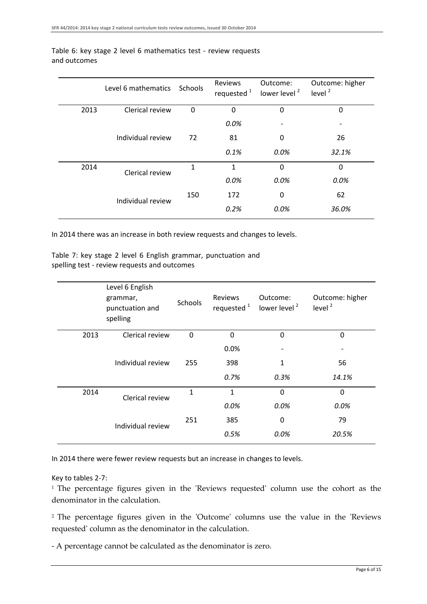|      | Level 6 mathematics Schools |          | <b>Reviews</b><br>requested <sup>1</sup> | Outcome:<br>lower level <sup>2</sup> | Outcome: higher<br>level $2$ |
|------|-----------------------------|----------|------------------------------------------|--------------------------------------|------------------------------|
| 2013 | Clerical review             | $\Omega$ | $\Omega$                                 | 0                                    | 0                            |
|      |                             |          | 0.0%                                     |                                      |                              |
|      | Individual review           | 72       | 81                                       | 0                                    | 26                           |
|      |                             |          | 0.1%                                     | 0.0%                                 | 32.1%                        |
| 2014 | Clerical review             | 1        | $\mathbf{1}$                             | 0                                    | $\Omega$                     |
|      |                             |          | 0.0%                                     | 0.0%                                 | 0.0%                         |
|      | Individual review           |          | 172                                      | 0                                    | 62                           |
|      |                             |          | 0.2%                                     | 0.0%                                 | 36.0%                        |

#### Table 6: key stage 2 level 6 mathematics test - review requests and outcomes

In 2014 there was an increase in both review requests and changes to levels.

Table 7: key stage 2 level 6 English grammar, punctuation and spelling test - review requests and outcomes

|      | Level 6 English<br>grammar,<br>punctuation and<br>spelling | <b>Schools</b> | <b>Reviews</b><br>requested <sup>1</sup> | Outcome:<br>lower level <sup>2</sup> | Outcome: higher<br>level $2$ |
|------|------------------------------------------------------------|----------------|------------------------------------------|--------------------------------------|------------------------------|
| 2013 | Clerical review                                            | $\mathbf 0$    | $\Omega$                                 | $\Omega$                             | $\Omega$                     |
|      |                                                            |                | 0.0%                                     |                                      |                              |
|      | Individual review                                          | 255            | 398                                      | 1                                    | 56                           |
|      |                                                            |                | 0.7%                                     | 0.3%                                 | 14.1%                        |
| 2014 | Clerical review                                            | 1              | 1                                        | $\Omega$                             | $\Omega$                     |
|      |                                                            |                | 0.0%                                     | 0.0%                                 | 0.0%                         |
|      | Individual review                                          | 251            | 385                                      | 0                                    | 79                           |
|      |                                                            |                | 0.5%                                     | 0.0%                                 | 20.5%                        |

In 2014 there were fewer review requests but an increase in changes to levels.

#### Key to tables 2-7:

<sup>1</sup> The percentage figures given in the 'Reviews requested' column use the cohort as the denominator in the calculation.

2 The percentage figures given in the 'Outcome' columns use the value in the 'Reviews requested' column as the denominator in the calculation.

- A percentage cannot be calculated as the denominator is zero.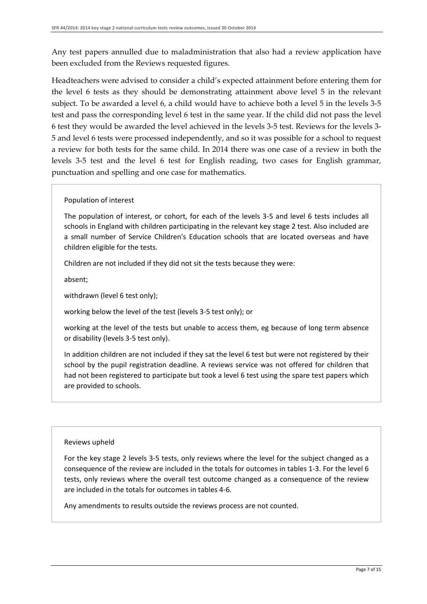Any test papers annulled due to maladministration that also had a review application have been excluded from the Reviews requested figures.

Headteachers were advised to consider a child's expected attainment before entering them for the level 6 tests as they should be demonstrating attainment above level 5 in the relevant subject. To be awarded a level 6, a child would have to achieve both a level 5 in the levels 3-5 test and pass the corresponding level 6 test in the same year. If the child did not pass the level 6 test they would be awarded the level achieved in the levels 3-5 test. Reviews for the levels 3- 5 and level 6 tests were processed independently, and so it was possible for a school to request a review for both tests for the same child. In 2014 there was one case of a review in both the levels 3-5 test and the level 6 test for English reading, two cases for English grammar, punctuation and spelling and one case for mathematics.

#### Population of interest

The population of interest, or cohort, for each of the levels 3-5 and level 6 tests includes all schools in England with children participating in the relevant key stage 2 test. Also included are a small number of Service Children's Education schools that are located overseas and have children eligible for the tests.

Children are not included if they did not sit the tests because they were:

absent;

withdrawn (level 6 test only);

working below the level of the test (levels 3-5 test only); or

working at the level of the tests but unable to access them, eg because of long term absence or disability (levels 3-5 test only).

In addition children are not included if they sat the level 6 test but were not registered by their school by the pupil registration deadline. A reviews service was not offered for children that had not been registered to participate but took a level 6 test using the spare test papers which are provided to schools.

#### Reviews upheld

For the key stage 2 levels 3-5 tests, only reviews where the level for the subject changed as a consequence of the review are included in the totals for outcomes in tables 1-3. For the level 6 tests, only reviews where the overall test outcome changed as a consequence of the review are included in the totals for outcomes in tables 4-6.

Any amendments to results outside the reviews process are not counted.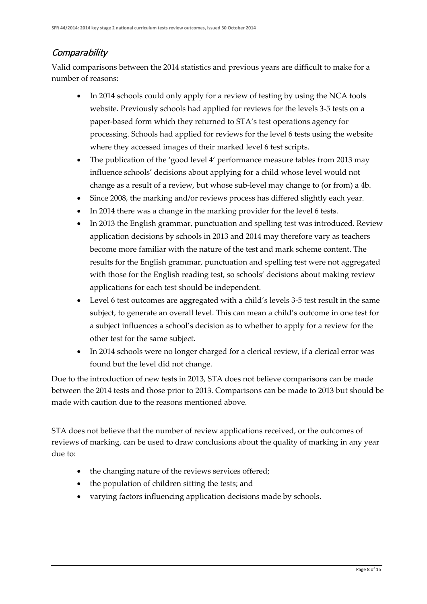### **Comparability**

Valid comparisons between the 2014 statistics and previous years are difficult to make for a number of reasons:

- In 2014 schools could only apply for a review of testing by using the NCA tools website. Previously schools had applied for reviews for the levels 3-5 tests on a paper-based form which they returned to STA's test operations agency for processing. Schools had applied for reviews for the level 6 tests using the website where they accessed images of their marked level 6 test scripts.
- The publication of the 'good level 4' performance measure tables from 2013 may influence schools' decisions about applying for a child whose level would not change as a result of a review, but whose sub-level may change to (or from) a 4b.
- Since 2008, the marking and/or reviews process has differed slightly each year.
- In 2014 there was a change in the marking provider for the level 6 tests.
- In 2013 the English grammar, punctuation and spelling test was introduced. Review application decisions by schools in 2013 and 2014 may therefore vary as teachers become more familiar with the nature of the test and mark scheme content. The results for the English grammar, punctuation and spelling test were not aggregated with those for the English reading test, so schools' decisions about making review applications for each test should be independent.
- Level 6 test outcomes are aggregated with a child's levels 3-5 test result in the same subject, to generate an overall level. This can mean a child's outcome in one test for a subject influences a school's decision as to whether to apply for a review for the other test for the same subject.
- In 2014 schools were no longer charged for a clerical review, if a clerical error was found but the level did not change.

Due to the introduction of new tests in 2013, STA does not believe comparisons can be made between the 2014 tests and those prior to 2013. Comparisons can be made to 2013 but should be made with caution due to the reasons mentioned above.

STA does not believe that the number of review applications received, or the outcomes of reviews of marking, can be used to draw conclusions about the quality of marking in any year due to:

- the changing nature of the reviews services offered;
- the population of children sitting the tests; and
- varying factors influencing application decisions made by schools.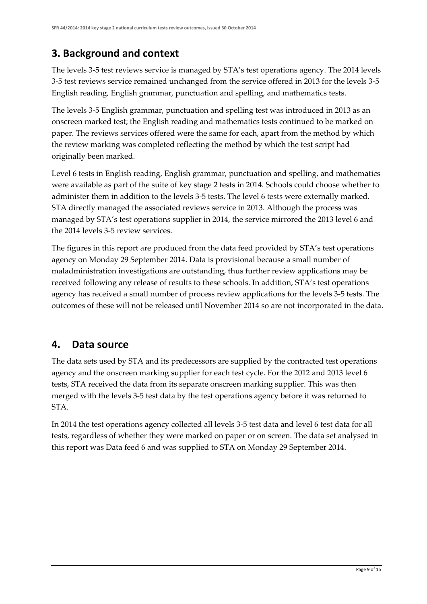# **3. Background and context**

The levels 3-5 test reviews service is managed by STA's test operations agency. The 2014 levels 3-5 test reviews service remained unchanged from the service offered in 2013 for the levels 3-5 English reading, English grammar, punctuation and spelling, and mathematics tests.

The levels 3-5 English grammar, punctuation and spelling test was introduced in 2013 as an onscreen marked test; the English reading and mathematics tests continued to be marked on paper. The reviews services offered were the same for each, apart from the method by which the review marking was completed reflecting the method by which the test script had originally been marked.

Level 6 tests in English reading, English grammar, punctuation and spelling, and mathematics were available as part of the suite of key stage 2 tests in 2014. Schools could choose whether to administer them in addition to the levels 3-5 tests. The level 6 tests were externally marked. STA directly managed the associated reviews service in 2013. Although the process was managed by STA's test operations supplier in 2014, the service mirrored the 2013 level 6 and the 2014 levels 3-5 review services.

The figures in this report are produced from the data feed provided by STA's test operations agency on Monday 29 September 2014. Data is provisional because a small number of maladministration investigations are outstanding, thus further review applications may be received following any release of results to these schools. In addition, STA's test operations agency has received a small number of process review applications for the levels 3-5 tests. The outcomes of these will not be released until November 2014 so are not incorporated in the data.

## **4. Data source**

The data sets used by STA and its predecessors are supplied by the contracted test operations agency and the onscreen marking supplier for each test cycle. For the 2012 and 2013 level 6 tests, STA received the data from its separate onscreen marking supplier. This was then merged with the levels 3-5 test data by the test operations agency before it was returned to STA.

In 2014 the test operations agency collected all levels 3-5 test data and level 6 test data for all tests, regardless of whether they were marked on paper or on screen. The data set analysed in this report was Data feed 6 and was supplied to STA on Monday 29 September 2014.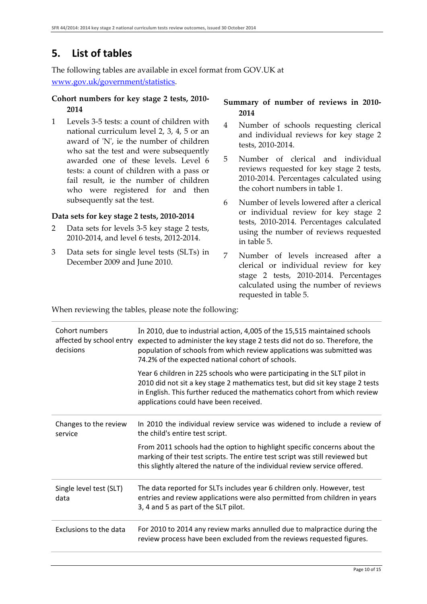# **5. List of tables**

The following tables are available in excel format from GOV.UK at

[www.gov.uk/government/statistics.](https://www.gov.uk/government/statistics/announcements/2014-national-curriculum-tests-review-outcomes-provisional)

#### **Cohort numbers for key stage 2 tests, 2010- 2014**

1 Levels 3-5 tests: a count of children with national curriculum level 2, 3, 4, 5 or an award of 'N', ie the number of children who sat the test and were subsequently awarded one of these levels. Level 6 tests: a count of children with a pass or fail result, ie the number of children who were registered for and then subsequently sat the test.

#### **Data sets for key stage 2 tests, 2010-2014**

- 2 Data sets for levels 3-5 key stage 2 tests, 2010-2014, and level 6 tests, 2012-2014.
- 3 Data sets for single level tests (SLTs) in December 2009 and June 2010.

### **Summary of number of reviews in 2010- 2014**

- 4 Number of schools requesting clerical and individual reviews for key stage 2 tests, 2010-2014.
- 5 Number of clerical and individual reviews requested for key stage 2 tests, 2010-2014. Percentages calculated using the cohort numbers in table 1.
- 6 Number of levels lowered after a clerical or individual review for key stage 2 tests, 2010-2014. Percentages calculated using the number of reviews requested in table 5.
- 7 Number of levels increased after a clerical or individual review for key stage 2 tests, 2010-2014. Percentages calculated using the number of reviews requested in table 5.

When reviewing the tables, please note the following:

| Cohort numbers<br>affected by school entry<br>decisions | In 2010, due to industrial action, 4,005 of the 15,515 maintained schools<br>expected to administer the key stage 2 tests did not do so. Therefore, the<br>population of schools from which review applications was submitted was<br>74.2% of the expected national cohort of schools. |
|---------------------------------------------------------|----------------------------------------------------------------------------------------------------------------------------------------------------------------------------------------------------------------------------------------------------------------------------------------|
|                                                         | Year 6 children in 225 schools who were participating in the SLT pilot in<br>2010 did not sit a key stage 2 mathematics test, but did sit key stage 2 tests<br>in English. This further reduced the mathematics cohort from which review<br>applications could have been received.     |
| Changes to the review<br>service                        | In 2010 the individual review service was widened to include a review of<br>the child's entire test script.                                                                                                                                                                            |
|                                                         | From 2011 schools had the option to highlight specific concerns about the<br>marking of their test scripts. The entire test script was still reviewed but<br>this slightly altered the nature of the individual review service offered.                                                |
| Single level test (SLT)<br>data                         | The data reported for SLTs includes year 6 children only. However, test<br>entries and review applications were also permitted from children in years<br>3, 4 and 5 as part of the SLT pilot.                                                                                          |
| Exclusions to the data                                  | For 2010 to 2014 any review marks annulled due to malpractice during the<br>review process have been excluded from the reviews requested figures.                                                                                                                                      |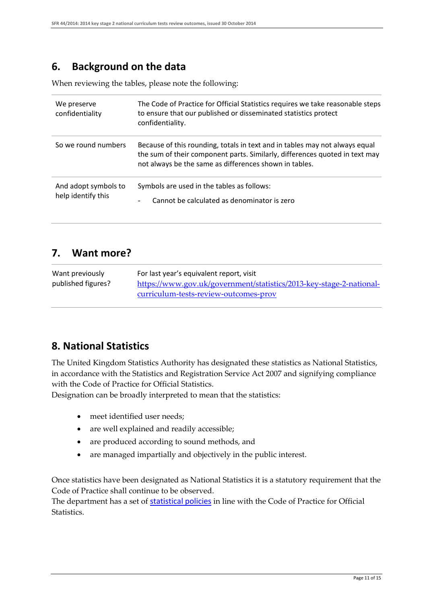### **6. Background on the data**

When reviewing the tables, please note the following:

| We preserve<br>confidentiality             | The Code of Practice for Official Statistics requires we take reasonable steps<br>to ensure that our published or disseminated statistics protect<br>confidentiality.                                                |
|--------------------------------------------|----------------------------------------------------------------------------------------------------------------------------------------------------------------------------------------------------------------------|
| So we round numbers                        | Because of this rounding, totals in text and in tables may not always equal<br>the sum of their component parts. Similarly, differences quoted in text may<br>not always be the same as differences shown in tables. |
| And adopt symbols to<br>help identify this | Symbols are used in the tables as follows:<br>Cannot be calculated as denominator is zero<br>$\overline{\phantom{0}}$                                                                                                |

### **7. Want more?**

| Want previously    | For last year's equivalent report, visit                            |
|--------------------|---------------------------------------------------------------------|
| published figures? | https://www.gov.uk/government/statistics/2013-key-stage-2-national- |
|                    | curriculum-tests-review-outcomes-prov                               |

### **8. National Statistics**

The United Kingdom Statistics Authority has designated these statistics as National Statistics, in accordance with the Statistics and Registration Service Act 2007 and signifying compliance with the Code of Practice for Official Statistics.

Designation can be broadly interpreted to mean that the statistics:

- meet identified user needs;
- are well explained and readily accessible;
- are produced according to sound methods, and
- are managed impartially and objectively in the public interest.

Once statistics have been designated as National Statistics it is a statutory requirement that the Code of Practice shall continue to be observed.

The department has a set of [statistical policies](https://www.gov.uk/government/publications/standards-for-official-statistics-published-by-the-department-for-education) in line with the Code of Practice for Official **Statistics**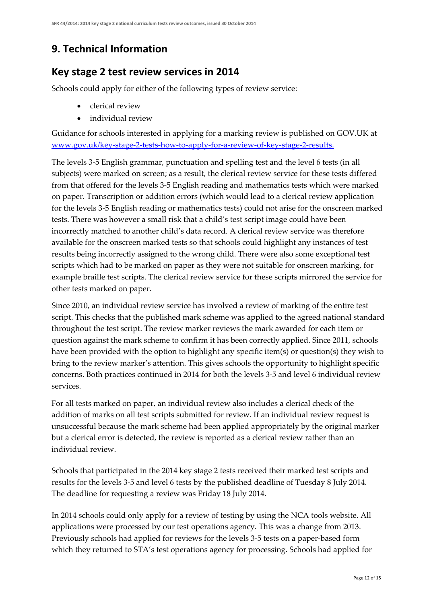# **9. Technical Information**

### **Key stage 2 test review services in 2014**

Schools could apply for either of the following types of review service:

- clerical review
- individual review

Guidance for schools interested in applying for a marking review is published on GOV.UK at [www.gov.uk/key-stage-2-tests-how-to-apply-for-a-review-of-key-stage-2-results](http://www.gov.uk/key-stage-2-tests-how-to-apply-for-a-review-of-key-stage-2-results).

The levels 3-5 English grammar, punctuation and spelling test and the level 6 tests (in all subjects) were marked on screen; as a result, the clerical review service for these tests differed from that offered for the levels 3-5 English reading and mathematics tests which were marked on paper. Transcription or addition errors (which would lead to a clerical review application for the levels 3-5 English reading or mathematics tests) could not arise for the onscreen marked tests. There was however a small risk that a child's test script image could have been incorrectly matched to another child's data record. A clerical review service was therefore available for the onscreen marked tests so that schools could highlight any instances of test results being incorrectly assigned to the wrong child. There were also some exceptional test scripts which had to be marked on paper as they were not suitable for onscreen marking, for example braille test scripts. The clerical review service for these scripts mirrored the service for other tests marked on paper.

Since 2010, an individual review service has involved a review of marking of the entire test script. This checks that the published mark scheme was applied to the agreed national standard throughout the test script. The review marker reviews the mark awarded for each item or question against the mark scheme to confirm it has been correctly applied. Since 2011, schools have been provided with the option to highlight any specific item(s) or question(s) they wish to bring to the review marker's attention. This gives schools the opportunity to highlight specific concerns. Both practices continued in 2014 for both the levels 3-5 and level 6 individual review services.

For all tests marked on paper, an individual review also includes a clerical check of the addition of marks on all test scripts submitted for review. If an individual review request is unsuccessful because the mark scheme had been applied appropriately by the original marker but a clerical error is detected, the review is reported as a clerical review rather than an individual review.

Schools that participated in the 2014 key stage 2 tests received their marked test scripts and results for the levels 3-5 and level 6 tests by the published deadline of Tuesday 8 July 2014. The deadline for requesting a review was Friday 18 July 2014.

In 2014 schools could only apply for a review of testing by using the NCA tools website. All applications were processed by our test operations agency. This was a change from 2013. Previously schools had applied for reviews for the levels 3-5 tests on a paper-based form which they returned to STA's test operations agency for processing. Schools had applied for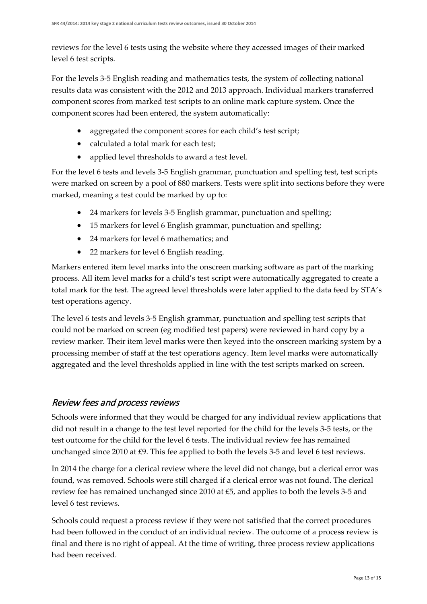reviews for the level 6 tests using the website where they accessed images of their marked level 6 test scripts.

For the levels 3-5 English reading and mathematics tests, the system of collecting national results data was consistent with the 2012 and 2013 approach. Individual markers transferred component scores from marked test scripts to an online mark capture system. Once the component scores had been entered, the system automatically:

- aggregated the component scores for each child's test script;
- calculated a total mark for each test:
- applied level thresholds to award a test level.

For the level 6 tests and levels 3-5 English grammar, punctuation and spelling test, test scripts were marked on screen by a pool of 880 markers. Tests were split into sections before they were marked, meaning a test could be marked by up to:

- 24 markers for levels 3-5 English grammar, punctuation and spelling;
- 15 markers for level 6 English grammar, punctuation and spelling;
- 24 markers for level 6 mathematics; and
- 22 markers for level 6 English reading.

Markers entered item level marks into the onscreen marking software as part of the marking process. All item level marks for a child's test script were automatically aggregated to create a total mark for the test. The agreed level thresholds were later applied to the data feed by STA's test operations agency.

The level 6 tests and levels 3-5 English grammar, punctuation and spelling test scripts that could not be marked on screen (eg modified test papers) were reviewed in hard copy by a review marker. Their item level marks were then keyed into the onscreen marking system by a processing member of staff at the test operations agency. Item level marks were automatically aggregated and the level thresholds applied in line with the test scripts marked on screen.

### Review fees and process reviews

Schools were informed that they would be charged for any individual review applications that did not result in a change to the test level reported for the child for the levels 3-5 tests, or the test outcome for the child for the level 6 tests. The individual review fee has remained unchanged since 2010 at £9. This fee applied to both the levels 3-5 and level 6 test reviews.

In 2014 the charge for a clerical review where the level did not change, but a clerical error was found, was removed. Schools were still charged if a clerical error was not found. The clerical review fee has remained unchanged since 2010 at £5, and applies to both the levels 3-5 and level 6 test reviews.

Schools could request a process review if they were not satisfied that the correct procedures had been followed in the conduct of an individual review. The outcome of a process review is final and there is no right of appeal. At the time of writing, three process review applications had been received.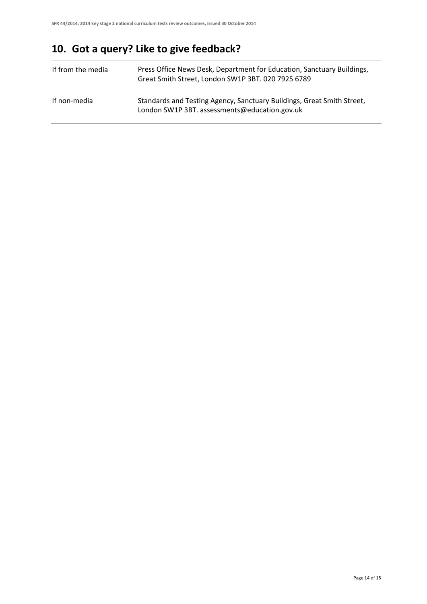# **10. Got a query? Like to give feedback?**

| If from the media | Press Office News Desk, Department for Education, Sanctuary Buildings,<br>Great Smith Street, London SW1P 3BT. 020 7925 6789 |
|-------------------|------------------------------------------------------------------------------------------------------------------------------|
| If non-media      | Standards and Testing Agency, Sanctuary Buildings, Great Smith Street,<br>London SW1P 3BT. assessments@education.gov.uk      |